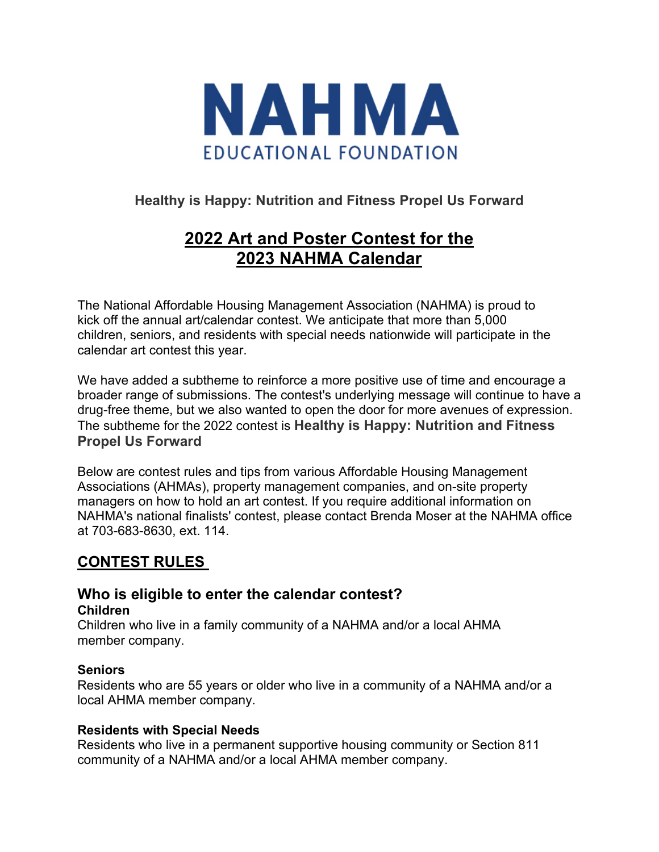

## **Healthy is Happy: Nutrition and Fitness Propel Us Forward**

# **2022 Art and Poster Contest for the 2023 NAHMA Calendar**

The National Affordable Housing Management Association (NAHMA) is proud to kick off the annual art/calendar contest. We anticipate that more than 5,000 children, seniors, and residents with special needs nationwide will participate in the calendar art contest this year.

We have added a subtheme to reinforce a more positive use of time and encourage a broader range of submissions. The contest's underlying message will continue to have a drug-free theme, but we also wanted to open the door for more avenues of expression. The subtheme for the 2022 contest is **Healthy is Happy: Nutrition and Fitness Propel Us Forward** 

Below are contest rules and tips from various Affordable Housing Management Associations (AHMAs), property management companies, and on-site property managers on how to hold an art contest. If you require additional information on NAHMA's national finalists' contest, please contact Brenda Moser at the NAHMA office at 703-683-8630, ext. 114.

# **CONTEST RULES**

#### **Who is eligible to enter the calendar contest? Children**

Children who live in a family community of a NAHMA and/or a local AHMA member company.

#### **Seniors**

Residents who are 55 years or older who live in a community of a NAHMA and/or a local AHMA member company.

#### **Residents with Special Needs**

Residents who live in a permanent supportive housing community or Section 811 community of a NAHMA and/or a local AHMA member company.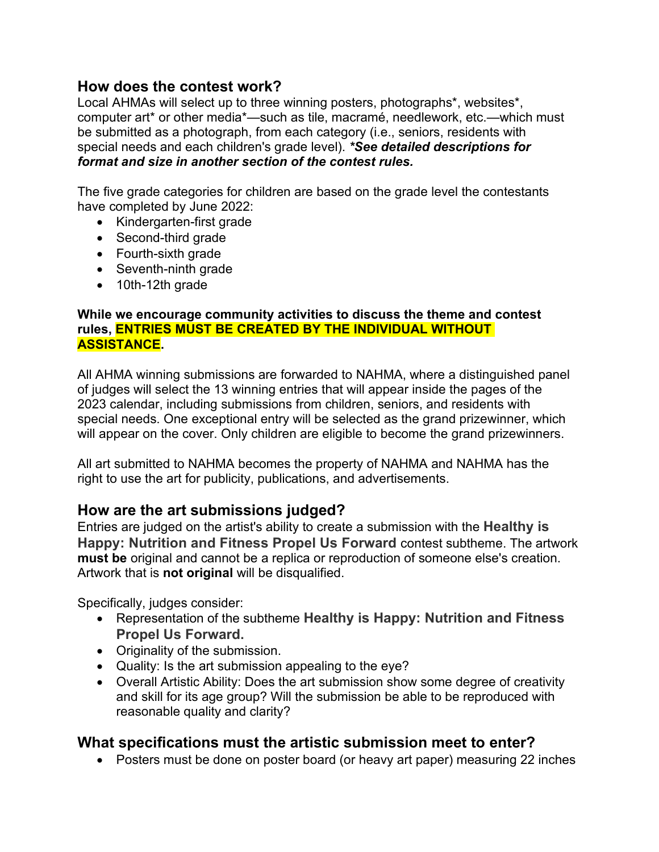## **How does the contest work?**

Local AHMAs will select up to three winning posters, photographs\*, websites\*, computer art\* or other media\*—such as tile, macramé, needlework, etc.—which must be submitted as a photograph, from each category (i.e., seniors, residents with special needs and each children's grade level). *\*See detailed descriptions for format and size in another section of the contest rules.* 

The five grade categories for children are based on the grade level the contestants have completed by June 2022:

- Kindergarten-first grade
- Second-third grade
- Fourth-sixth grade
- Seventh-ninth grade
- 10th-12th grade

#### **While we encourage community activities to discuss the theme and contest rules, ENTRIES MUST BE CREATED BY THE INDIVIDUAL WITHOUT ASSISTANCE.**

All AHMA winning submissions are forwarded to NAHMA, where a distinguished panel of judges will select the 13 winning entries that will appear inside the pages of the 2023 calendar, including submissions from children, seniors, and residents with special needs. One exceptional entry will be selected as the grand prizewinner, which will appear on the cover. Only children are eligible to become the grand prizewinners.

All art submitted to NAHMA becomes the property of NAHMA and NAHMA has the right to use the art for publicity, publications, and advertisements.

## **How are the art submissions judged?**

Entries are judged on the artist's ability to create a submission with the **Healthy is Happy: Nutrition and Fitness Propel Us Forward** contest subtheme. The artwork **must be** original and cannot be a replica or reproduction of someone else's creation. Artwork that is **not original** will be disqualified.

Specifically, judges consider:

- Representation of the subtheme **Healthy is Happy: Nutrition and Fitness Propel Us Forward.**
- Originality of the submission.
- Quality: Is the art submission appealing to the eye?
- Overall Artistic Ability: Does the art submission show some degree of creativity and skill for its age group? Will the submission be able to be reproduced with reasonable quality and clarity?

## **What specifications must the artistic submission meet to enter?**

• Posters must be done on poster board (or heavy art paper) measuring 22 inches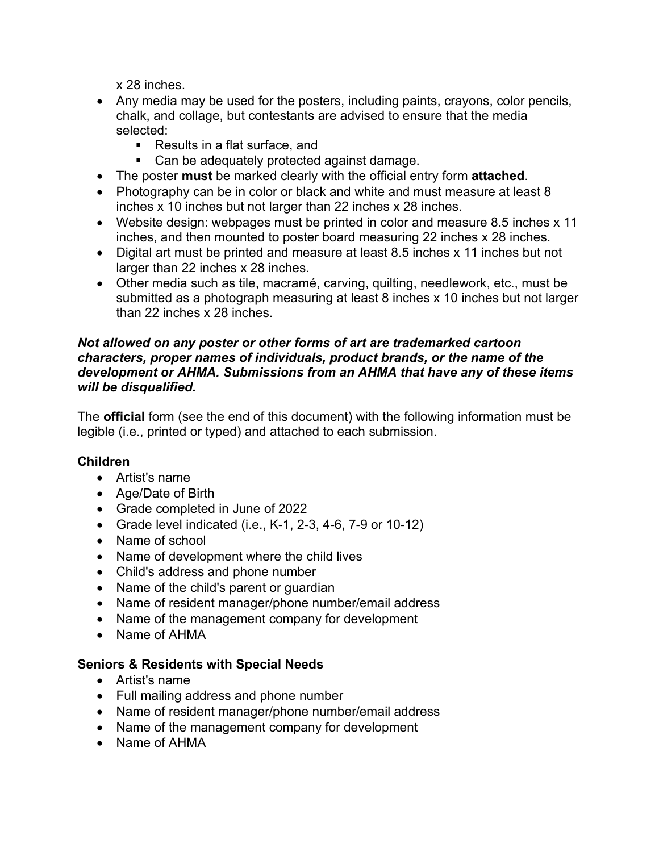x 28 inches.

- Any media may be used for the posters, including paints, crayons, color pencils, chalk, and collage, but contestants are advised to ensure that the media selected:
	- Results in a flat surface, and
	- Can be adequately protected against damage.
- The poster **must** be marked clearly with the official entry form **attached**.
- Photography can be in color or black and white and must measure at least 8 inches x 10 inches but not larger than 22 inches x 28 inches.
- Website design: webpages must be printed in color and measure 8.5 inches x 11 inches, and then mounted to poster board measuring 22 inches x 28 inches.
- Digital art must be printed and measure at least 8.5 inches x 11 inches but not larger than 22 inches x 28 inches.
- Other media such as tile, macramé, carving, quilting, needlework, etc., must be submitted as a photograph measuring at least 8 inches x 10 inches but not larger than 22 inches x 28 inches.

#### *Not allowed on any poster or other forms of art are trademarked cartoon characters, proper names of individuals, product brands, or the name of the development or AHMA. Submissions from an AHMA that have any of these items will be disqualified.*

The **official** form (see the end of this document) with the following information must be legible (i.e., printed or typed) and attached to each submission.

### **Children**

- Artist's name
- Age/Date of Birth
- Grade completed in June of 2022
- Grade level indicated (i.e., K-1, 2-3, 4-6, 7-9 or 10-12)
- Name of school
- Name of development where the child lives
- Child's address and phone number
- Name of the child's parent or guardian
- Name of resident manager/phone number/email address
- Name of the management company for development
- Name of AHMA

### **Seniors & Residents with Special Needs**

- Artist's name
- Full mailing address and phone number
- Name of resident manager/phone number/email address
- Name of the management company for development
- Name of AHMA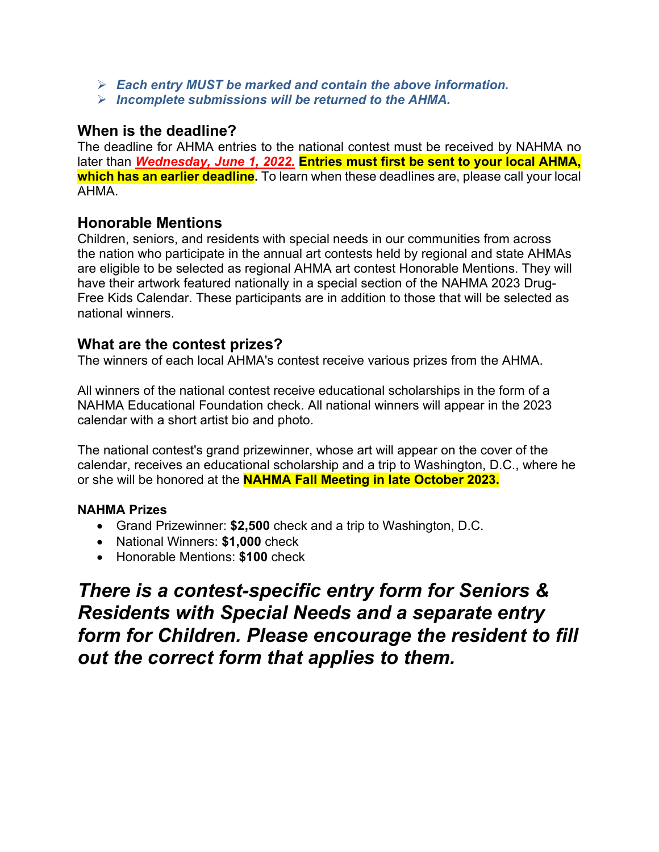- *Each entry MUST be marked and contain the above information.*
- *Incomplete submissions will be returned to the AHMA.*

## **When is the deadline?**

The deadline for AHMA entries to the national contest must be received by NAHMA no later than *Wednesday, June 1, 2022.* **Entries must first be sent to your local AHMA, which has an earlier deadline.** To learn when these deadlines are, please call your local AHMA.

## **Honorable Mentions**

Children, seniors, and residents with special needs in our communities from across the nation who participate in the annual art contests held by regional and state AHMAs are eligible to be selected as regional AHMA art contest Honorable Mentions. They will have their artwork featured nationally in a special section of the NAHMA 2023 Drug-Free Kids Calendar. These participants are in addition to those that will be selected as national winners.

### **What are the contest prizes?**

The winners of each local AHMA's contest receive various prizes from the AHMA.

All winners of the national contest receive educational scholarships in the form of a NAHMA Educational Foundation check. All national winners will appear in the 2023 calendar with a short artist bio and photo.

The national contest's grand prizewinner, whose art will appear on the cover of the calendar, receives an educational scholarship and a trip to Washington, D.C., where he or she will be honored at the **NAHMA Fall Meeting in late October 2023.** 

### **NAHMA Prizes**

- Grand Prizewinner: **\$2,500** check and a trip to Washington, D.C.
- National Winners: **\$1,000** check
- Honorable Mentions: **\$100** check

*There is a contest-specific entry form for Seniors & Residents with Special Needs and a separate entry form for Children. Please encourage the resident to fill out the correct form that applies to them.*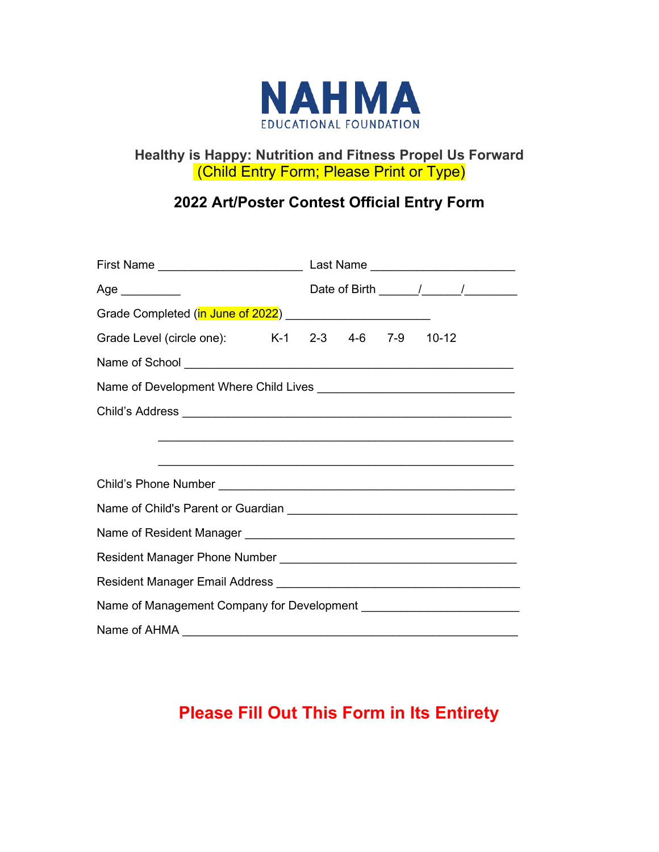

## **Healthy is Happy: Nutrition and Fitness Propel Us Forward**  (Child Entry Form; Please Print or Type)

# **2022 Art/Poster Contest Official Entry Form**

| First Name _________________________                                                                                 |  | Last Name _________________________ |  |  |  |  |
|----------------------------------------------------------------------------------------------------------------------|--|-------------------------------------|--|--|--|--|
| Age __________                                                                                                       |  |                                     |  |  |  |  |
| Grade Completed (in June of 2022) [19] [2012]                                                                        |  |                                     |  |  |  |  |
| Grade Level (circle one): K-1 2-3 4-6 7-9 10-12                                                                      |  |                                     |  |  |  |  |
|                                                                                                                      |  |                                     |  |  |  |  |
|                                                                                                                      |  |                                     |  |  |  |  |
|                                                                                                                      |  |                                     |  |  |  |  |
| <u> 1989 - Johann John Harry Harry Harry Harry Harry Harry Harry Harry Harry Harry Harry Harry Harry Harry Harry</u> |  |                                     |  |  |  |  |
|                                                                                                                      |  |                                     |  |  |  |  |
|                                                                                                                      |  |                                     |  |  |  |  |
|                                                                                                                      |  |                                     |  |  |  |  |
|                                                                                                                      |  |                                     |  |  |  |  |
|                                                                                                                      |  |                                     |  |  |  |  |
|                                                                                                                      |  |                                     |  |  |  |  |
|                                                                                                                      |  |                                     |  |  |  |  |
| Name of AHMA <u>contains and a series of AHMA</u>                                                                    |  |                                     |  |  |  |  |

# **Please Fill Out This Form in Its Entirety**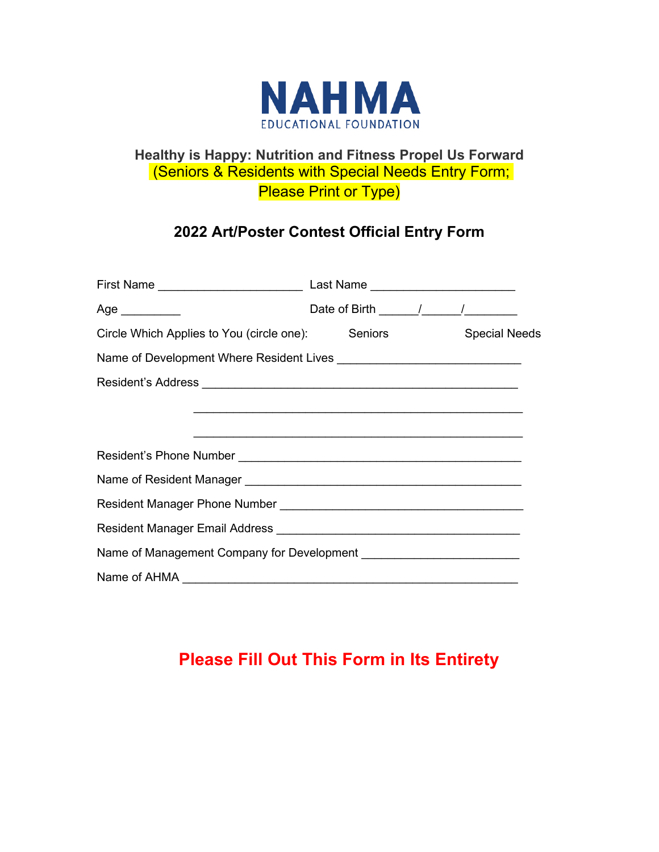

# **Healthy is Happy: Nutrition and Fitness Propel Us Forward**  (Seniors & Residents with Special Needs Entry Form; **Please Print or Type)**

# **2022 Art/Poster Contest Official Entry Form**

| Age $\_\_$                                                                                                           | Date of Birth $\frac{1}{\sqrt{1-\frac{1}{2}}}\frac{1}{\sqrt{1-\frac{1}{2}}}\frac{1}{\sqrt{1-\frac{1}{2}}}\frac{1}{\sqrt{1-\frac{1}{2}}}\frac{1}{\sqrt{1-\frac{1}{2}}}\frac{1}{\sqrt{1-\frac{1}{2}}}\frac{1}{\sqrt{1-\frac{1}{2}}}\frac{1}{\sqrt{1-\frac{1}{2}}}\frac{1}{\sqrt{1-\frac{1}{2}}}\frac{1}{\sqrt{1-\frac{1}{2}}}\frac{1}{\sqrt{1-\frac{1}{2}}}\frac{1}{\sqrt{1-\frac{1}{2}}}\frac{1}{\sqrt{1-\frac{1}{$ |  |  |
|----------------------------------------------------------------------------------------------------------------------|--------------------------------------------------------------------------------------------------------------------------------------------------------------------------------------------------------------------------------------------------------------------------------------------------------------------------------------------------------------------------------------------------------------------|--|--|
| Circle Which Applies to You (circle one): Seniors Special Needs                                                      |                                                                                                                                                                                                                                                                                                                                                                                                                    |  |  |
|                                                                                                                      |                                                                                                                                                                                                                                                                                                                                                                                                                    |  |  |
|                                                                                                                      |                                                                                                                                                                                                                                                                                                                                                                                                                    |  |  |
| <u> 2000 - Jan James James James James James James James James James James James James James James James James J</u> |                                                                                                                                                                                                                                                                                                                                                                                                                    |  |  |
|                                                                                                                      |                                                                                                                                                                                                                                                                                                                                                                                                                    |  |  |
|                                                                                                                      |                                                                                                                                                                                                                                                                                                                                                                                                                    |  |  |
|                                                                                                                      |                                                                                                                                                                                                                                                                                                                                                                                                                    |  |  |
|                                                                                                                      |                                                                                                                                                                                                                                                                                                                                                                                                                    |  |  |
|                                                                                                                      |                                                                                                                                                                                                                                                                                                                                                                                                                    |  |  |
|                                                                                                                      |                                                                                                                                                                                                                                                                                                                                                                                                                    |  |  |
|                                                                                                                      |                                                                                                                                                                                                                                                                                                                                                                                                                    |  |  |

# **Please Fill Out This Form in Its Entirety**